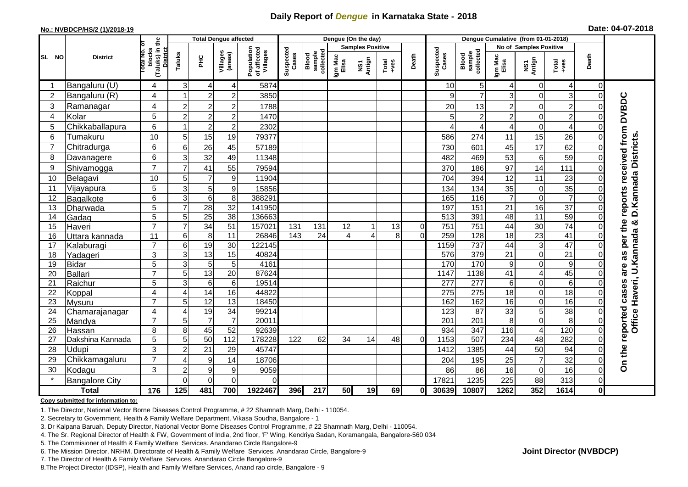## **Daily Report of** *Dengue* **in Karnataka State - 2018**

## **No.: NVBDCP/HS/2 (1)/2018-19 Date: 04-07-2018**

|                | <b>District</b>       | the                                 | <b>Total Dengue affected</b> |                                    |                         |                                       |                    |                              |                  | Dengue (On the day)              |                  |             |                    |                                     |                        |                               |                         |               |                                               |
|----------------|-----------------------|-------------------------------------|------------------------------|------------------------------------|-------------------------|---------------------------------------|--------------------|------------------------------|------------------|----------------------------------|------------------|-------------|--------------------|-------------------------------------|------------------------|-------------------------------|-------------------------|---------------|-----------------------------------------------|
|                |                       | ō                                   |                              |                                    |                         |                                       |                    |                              |                  | <b>Samples Positive</b>          |                  |             |                    |                                     | No of Samples Positive |                               |                         |               |                                               |
| SL NO          |                       | (Taluks) in t<br>blocks<br>otal No. | Taluks                       | Ξ                                  | Villages<br>(areas)     | Population<br>of affected<br>Villages | Suspected<br>Cases | Blood<br>sample<br>collected | Igm Mac<br>Elisa | Antign<br>$\overline{\text{MS}}$ | $Tota$<br>$+ves$ | Death       | Suspected<br>Cases | collected<br><b>Blood</b><br>sample | Igm Mac<br>Elisa       | NS1<br>Antign                 | Total<br>+ves           | Death         |                                               |
|                | Bangaluru (U)         | 4                                   | 3                            | 4                                  | 4                       | 5874                                  |                    |                              |                  |                                  |                  |             | 10                 | 5 <sub>5</sub>                      |                        | $\mathbf 0$                   | 4                       | 0             |                                               |
| $\overline{2}$ | Bangaluru (R)         | 4                                   | 1                            | $\overline{2}$                     | $\overline{c}$          | 3850                                  |                    |                              |                  |                                  |                  |             | 9                  | $\overline{7}$                      | 3                      | $\mathbf 0$                   | 3                       | $\Omega$      |                                               |
| 3              | Ramanagar             | 4                                   | $\overline{c}$               | $\overline{c}$                     | $\overline{\mathbf{c}}$ | 1788                                  |                    |                              |                  |                                  |                  |             | 20                 | 13                                  | 2                      | $\mathbf 0$                   | $\overline{c}$          | O             | <b>DVBDC</b>                                  |
| 4              | Kolar                 | 5                                   | $\overline{c}$               | $\overline{2}$                     | $\overline{2}$          | 1470                                  |                    |                              |                  |                                  |                  |             | 5                  | $\overline{2}$                      | $\overline{c}$         | $\mathbf 0$                   | $\overline{2}$          | $\Omega$      |                                               |
| 5              | Chikkaballapura       | 6                                   | 1                            | $\overline{c}$                     | $\overline{c}$          | 2302                                  |                    |                              |                  |                                  |                  |             | Δ                  | $\overline{4}$                      | 4                      | $\overline{0}$                | $\overline{\mathbf{4}}$ | $\Omega$      |                                               |
| 6              | Tumakuru              | 10                                  | 5                            | 15                                 | 19                      | 79377                                 |                    |                              |                  |                                  |                  |             | 586                | 274                                 | 11                     | 15                            | 26                      | $\Omega$      |                                               |
| $\overline{7}$ | Chitradurga           | 6                                   | 6                            | 26                                 | 45                      | 57189                                 |                    |                              |                  |                                  |                  |             | 730                | 601                                 | 45                     | 17                            | 62                      | $\Omega$      | reports received from<br>D. Kannada Districts |
| 8              | Davanagere            | $6\phantom{1}$                      | 3                            | 32                                 | 49                      | 11348                                 |                    |                              |                  |                                  |                  |             | 482                | 469                                 | 53                     | 6                             | 59                      | $\Omega$      |                                               |
| 9              | Shivamogga            | $\overline{7}$                      | $\overline{7}$               | 41                                 | 55                      | 79594                                 |                    |                              |                  |                                  |                  |             | 370                | 186                                 | 97                     | 14                            | 111                     | $\Omega$      |                                               |
| 10             | Belagavi              | 10                                  | 5                            | $\overline{7}$                     | $\boldsymbol{9}$        | 11904                                 |                    |                              |                  |                                  |                  |             | 704                | 394                                 | 12                     | 11                            | 23                      | $\Omega$      |                                               |
| 11             | Vijayapura            | 5                                   | 3                            | 5                                  | $\boldsymbol{9}$        | 15856                                 |                    |                              |                  |                                  |                  |             | 134                | 134                                 | 35                     | $\mathbf 0$                   | 35                      | $\Omega$      |                                               |
| 12             | Bagalkote             | $6\phantom{1}$                      | $\overline{3}$               | $\overline{6}$                     | 8                       | 388291                                |                    |                              |                  |                                  |                  |             | 165                | $\frac{116}{116}$                   |                        | $\overline{0}$                | $\overline{7}$          | $\Omega$      |                                               |
| 13             | Dharwada              | 5                                   | $\overline{7}$               | 28                                 | $\overline{32}$         | 141950                                |                    |                              |                  |                                  |                  |             | 197                | 151                                 | 21                     | 16                            | $\overline{37}$         | $\Omega$      |                                               |
| 14             | Gadag                 | 5                                   | 5                            | $\overline{25}$                    | $\overline{38}$         | 136663                                |                    |                              |                  |                                  |                  |             | 513                | 391                                 | 48                     | $\overline{11}$               | 59                      | $\Omega$      | න්                                            |
| 15             | Haveri                | $\overline{7}$                      | $\overline{7}$               | 34                                 | 51                      | 157021                                | 131                | 131                          | 12               |                                  | 13               | $\mathbf 0$ | 751                | $\overline{751}$                    | 44                     | 30                            | $\overline{74}$         | $\Omega$      | per the                                       |
| 16             | Uttara kannada        | 11                                  | 6                            | 8                                  | 11                      | 26846                                 | 143                | 24                           | 4                | Δ                                | 8                | $\Omega$    | 259                | 128                                 | 18                     | $\overline{23}$               | 41                      | $\Omega$      |                                               |
| 17             | Kalaburagi            | $\overline{7}$                      | 6                            | 19                                 | 30                      | 122145                                |                    |                              |                  |                                  |                  |             | 1159               | 737                                 | 44                     | 3                             | $\overline{47}$         | $\Omega$      | U.Kannada                                     |
| 18             | Yadageri              | 3                                   | 3                            | $\overline{13}$                    | 15                      | 40824                                 |                    |                              |                  |                                  |                  |             | 576                | 379                                 | 21                     | $\mathbf 0$                   | $\overline{21}$         | $\Omega$      | 8g                                            |
| 19             | <b>Bidar</b>          | 5<br>$\overline{7}$                 | 3                            | $\overline{5}$                     | 5                       | 4161                                  |                    |                              |                  |                                  |                  |             | 170                | 170                                 | 9                      | $\overline{0}$                | $\boldsymbol{9}$        | $\Omega$      | are                                           |
| 20<br>21       | Ballari               | 5                                   | 5<br>$\overline{3}$          | $\overline{13}$<br>$6\phantom{1}6$ | 20<br>$\,6$             | 87624<br>19514                        |                    |                              |                  |                                  |                  |             | 1147<br>277        | 1138<br>$\overline{277}$            | 41<br>6                | $\overline{4}$<br>$\mathbf 0$ | 45<br>$\overline{6}$    | 0<br>$\Omega$ |                                               |
| 22             | Raichur<br>Koppal     | $\overline{4}$                      | 4                            | 14                                 | 16                      | 44822                                 |                    |                              |                  |                                  |                  |             | 275                | 275                                 | 18                     | $\mathbf 0$                   | 18                      | $\Omega$      |                                               |
| 23             | Mysuru                | $\overline{7}$                      | 5                            | $\overline{12}$                    | 13                      | 18450                                 |                    |                              |                  |                                  |                  |             | 162                | 162                                 | 16                     | $\mathbf 0$                   | 16                      | $\Omega$      |                                               |
| 24             | Chamarajanagar        | 4                                   | 4                            | 19                                 | $\overline{34}$         | 99214                                 |                    |                              |                  |                                  |                  |             | 123                | 87                                  | 33                     | $\overline{5}$                | 38                      | $\Omega$      |                                               |
| 25             | Mandya                | $\overline{7}$                      | 5                            | $\overline{7}$                     | $\overline{7}$          | 20011                                 |                    |                              |                  |                                  |                  |             | 201                | 201                                 | 8                      | $\mathbf 0$                   | $\overline{8}$          | 0             | Office Haveri,                                |
| 26             | Hassan                | 8                                   | 8                            | 45                                 | 52                      | 92639                                 |                    |                              |                  |                                  |                  |             | 934                | 347                                 | 116                    | $\overline{\mathbf{4}}$       | 120                     | $\mathbf 0$   | reported cases                                |
| 27             | Dakshina Kannada      | 5                                   | $\overline{5}$               | 50                                 | $\frac{11}{2}$          | 178228                                | 122                | 62                           | 34               | 14                               | 48               | $\Omega$    | 1153               | 507                                 | 234                    | $\overline{48}$               | 282                     | $\Omega$      |                                               |
| 28             | Udupi                 | 3                                   | $\overline{c}$               | 21                                 | 29                      | 45747                                 |                    |                              |                  |                                  |                  |             | 1412               | 1385                                | 44                     | 50                            | 94                      | $\Omega$      |                                               |
| 29             | Chikkamagaluru        | $\overline{7}$                      | 4                            | $\boldsymbol{9}$                   | 14                      | 18706                                 |                    |                              |                  |                                  |                  |             | 204                | 195                                 | 25                     | $\overline{7}$                | 32                      | $\mathbf 0$   | On the                                        |
| 30             | Kodagu                | 3                                   | $\overline{c}$               | 9                                  | $9$                     | 9059                                  |                    |                              |                  |                                  |                  |             | 86                 | 86                                  | 16                     | $\overline{0}$                | 16                      | $\Omega$      |                                               |
|                | <b>Bangalore City</b> |                                     | $\Omega$                     | $\overline{0}$                     | $\mathbf 0$             | $\Omega$                              |                    |                              |                  |                                  |                  |             | 17821              | 1235                                | 225                    | 88                            | 313                     | $\Omega$      |                                               |
| <b>Total</b>   |                       | 176                                 | 125                          | 481                                | 700                     | 1922467                               | 396                | 217                          | 50               | 19                               | 69               | 0l          | 30639              | 10807                               | 1262                   | 352                           | $\frac{1}{1614}$        | $\mathbf{0}$  |                                               |

#### **Copy submitted for information to:**

1. The Director, National Vector Borne Diseases Control Programme, # 22 Shamnath Marg, Delhi - 110054.

2. Secretary to Government, Health & Family Welfare Department, Vikasa Soudha, Bangalore - 1

3. Dr Kalpana Baruah, Deputy Director, National Vector Borne Diseases Control Programme, # 22 Shamnath Marg, Delhi - 110054.

4. The Sr. Regional Director of Health & FW, Government of India, 2nd floor, 'F' Wing, Kendriya Sadan, Koramangala, Bangalore-560 034

5. The Commisioner of Health & Family Welfare Services. Anandarao Circle Bangalore-9

6. The Mission Director, NRHM, Directorate of Health & Family Welfare Services. Anandarao Circle, Bangalore-9

7. The Director of Health & Family Welfare Services. Anandarao Circle Bangalore-9

8.The Project Director (IDSP), Health and Family Welfare Services, Anand rao circle, Bangalore - 9